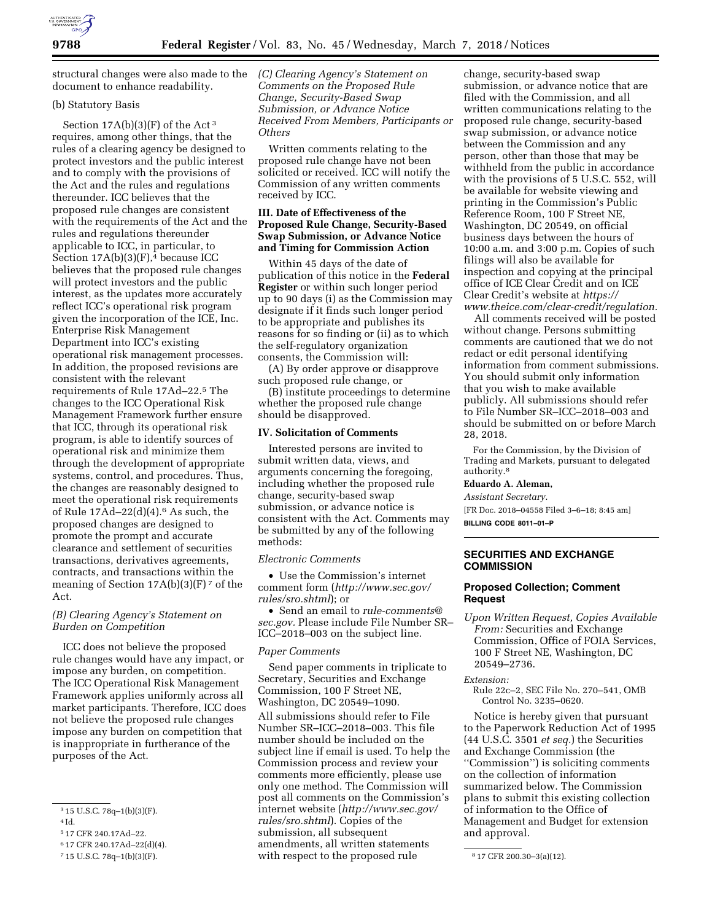

structural changes were also made to the document to enhance readability.

### (b) Statutory Basis

Section  $17A(b)(3)(F)$  of the Act<sup>3</sup> requires, among other things, that the rules of a clearing agency be designed to protect investors and the public interest and to comply with the provisions of the Act and the rules and regulations thereunder. ICC believes that the proposed rule changes are consistent with the requirements of the Act and the rules and regulations thereunder applicable to ICC, in particular, to Section  $17A(b)(3)(F)$ ,<sup>4</sup> because ICC believes that the proposed rule changes will protect investors and the public interest, as the updates more accurately reflect ICC's operational risk program given the incorporation of the ICE, Inc. Enterprise Risk Management Department into ICC's existing operational risk management processes. In addition, the proposed revisions are consistent with the relevant requirements of Rule 17Ad–22.5 The changes to the ICC Operational Risk Management Framework further ensure that ICC, through its operational risk program, is able to identify sources of operational risk and minimize them through the development of appropriate systems, control, and procedures. Thus, the changes are reasonably designed to meet the operational risk requirements of Rule  $17\text{Ad}-22\text{(d)}(4).6$  As such, the proposed changes are designed to promote the prompt and accurate clearance and settlement of securities transactions, derivatives agreements, contracts, and transactions within the meaning of Section  $17A(b)(3)(F)$ <sup>7</sup> of the Act.

# *(B) Clearing Agency's Statement on Burden on Competition*

ICC does not believe the proposed rule changes would have any impact, or impose any burden, on competition. The ICC Operational Risk Management Framework applies uniformly across all market participants. Therefore, ICC does not believe the proposed rule changes impose any burden on competition that is inappropriate in furtherance of the purposes of the Act.

*(C) Clearing Agency's Statement on Comments on the Proposed Rule Change, Security-Based Swap Submission, or Advance Notice Received From Members, Participants or Others* 

Written comments relating to the proposed rule change have not been solicited or received. ICC will notify the Commission of any written comments received by ICC.

### **III. Date of Effectiveness of the Proposed Rule Change, Security-Based Swap Submission, or Advance Notice and Timing for Commission Action**

Within 45 days of the date of publication of this notice in the **Federal Register** or within such longer period up to 90 days (i) as the Commission may designate if it finds such longer period to be appropriate and publishes its reasons for so finding or (ii) as to which the self-regulatory organization consents, the Commission will:

(A) By order approve or disapprove such proposed rule change, or

(B) institute proceedings to determine whether the proposed rule change should be disapproved.

### **IV. Solicitation of Comments**

Interested persons are invited to submit written data, views, and arguments concerning the foregoing, including whether the proposed rule change, security-based swap submission, or advance notice is consistent with the Act. Comments may be submitted by any of the following methods:

#### *Electronic Comments*

• Use the Commission's internet comment form (*[http://www.sec.gov/](http://www.sec.gov/rules/sro.shtml)  [rules/sro.shtml](http://www.sec.gov/rules/sro.shtml)*); or

• Send an email to *[rule-comments@](mailto:rule-comments@sec.gov) [sec.gov.](mailto:rule-comments@sec.gov)* Please include File Number SR– ICC–2018–003 on the subject line.

# *Paper Comments*

Send paper comments in triplicate to Secretary, Securities and Exchange Commission, 100 F Street NE, Washington, DC 20549–1090.

7 15 U.S.C. 78q–1(b)(3)(F). 8 17 CFR 200.30–3(a)(12). with respect to the proposed rule All submissions should refer to File Number SR–ICC–2018–003. This file number should be included on the subject line if email is used. To help the Commission process and review your comments more efficiently, please use only one method. The Commission will post all comments on the Commission's internet website (*[http://www.sec.gov/](http://www.sec.gov/rules/sro.shtml)  [rules/sro.shtml](http://www.sec.gov/rules/sro.shtml)*). Copies of the submission, all subsequent amendments, all written statements

change, security-based swap submission, or advance notice that are filed with the Commission, and all written communications relating to the proposed rule change, security-based swap submission, or advance notice between the Commission and any person, other than those that may be withheld from the public in accordance with the provisions of 5 U.S.C. 552, will be available for website viewing and printing in the Commission's Public Reference Room, 100 F Street NE, Washington, DC 20549, on official business days between the hours of 10:00 a.m. and 3:00 p.m. Copies of such filings will also be available for inspection and copying at the principal office of ICE Clear Credit and on ICE Clear Credit's website at *[https://](https://www.theice.com/clear-credit/regulation) [www.theice.com/clear-credit/regulation.](https://www.theice.com/clear-credit/regulation)* 

All comments received will be posted without change. Persons submitting comments are cautioned that we do not redact or edit personal identifying information from comment submissions. You should submit only information that you wish to make available publicly. All submissions should refer to File Number SR–ICC–2018–003 and should be submitted on or before March 28, 2018.

For the Commission, by the Division of Trading and Markets, pursuant to delegated authority.8

# **Eduardo A. Aleman,**

*Assistant Secretary.* 

[FR Doc. 2018–04558 Filed 3–6–18; 8:45 am] **BILLING CODE 8011–01–P** 

# **SECURITIES AND EXCHANGE COMMISSION**

# **Proposed Collection; Comment Request**

*Upon Written Request, Copies Available From:* Securities and Exchange Commission, Office of FOIA Services, 100 F Street NE, Washington, DC 20549–2736.

*Extension:* 

Rule 22c–2, SEC File No. 270–541, OMB Control No. 3235–0620.

Notice is hereby given that pursuant to the Paperwork Reduction Act of 1995 (44 U.S.C. 3501 *et seq.*) the Securities and Exchange Commission (the ''Commission'') is soliciting comments on the collection of information summarized below. The Commission plans to submit this existing collection of information to the Office of Management and Budget for extension and approval.

<sup>3</sup> 15 U.S.C. 78q–1(b)(3)(F).

 $4$  Id.

<sup>5</sup> 17 CFR 240.17Ad–22.

<sup>6</sup> 17 CFR 240.17Ad–22(d)(4).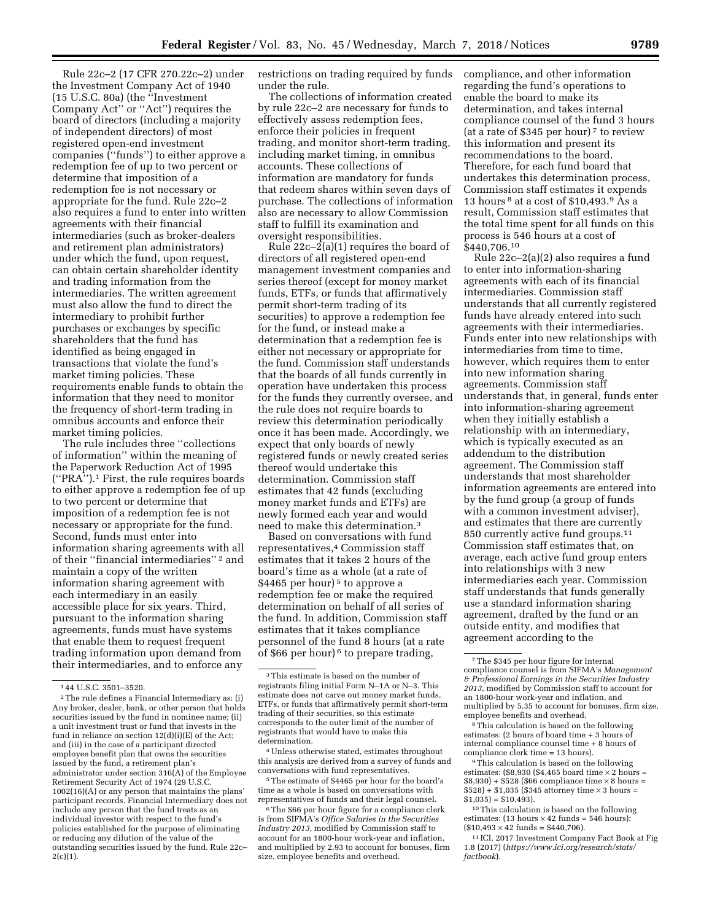Rule 22c–2 (17 CFR 270.22c–2) under the Investment Company Act of 1940 (15 U.S.C. 80a) (the ''Investment Company Act'' or ''Act'') requires the board of directors (including a majority of independent directors) of most registered open-end investment companies (''funds'') to either approve a redemption fee of up to two percent or determine that imposition of a redemption fee is not necessary or appropriate for the fund. Rule 22c–2 also requires a fund to enter into written agreements with their financial intermediaries (such as broker-dealers and retirement plan administrators) under which the fund, upon request, can obtain certain shareholder identity and trading information from the intermediaries. The written agreement must also allow the fund to direct the intermediary to prohibit further purchases or exchanges by specific shareholders that the fund has identified as being engaged in transactions that violate the fund's market timing policies. These requirements enable funds to obtain the information that they need to monitor the frequency of short-term trading in omnibus accounts and enforce their market timing policies.

The rule includes three ''collections of information'' within the meaning of the Paperwork Reduction Act of 1995 (''PRA'').1 First, the rule requires boards to either approve a redemption fee of up to two percent or determine that imposition of a redemption fee is not necessary or appropriate for the fund. Second, funds must enter into information sharing agreements with all of their ''financial intermediaries'' 2 and maintain a copy of the written information sharing agreement with each intermediary in an easily accessible place for six years. Third, pursuant to the information sharing agreements, funds must have systems that enable them to request frequent trading information upon demand from their intermediaries, and to enforce any

restrictions on trading required by funds under the rule.

The collections of information created by rule 22c–2 are necessary for funds to effectively assess redemption fees, enforce their policies in frequent trading, and monitor short-term trading, including market timing, in omnibus accounts. These collections of information are mandatory for funds that redeem shares within seven days of purchase. The collections of information also are necessary to allow Commission staff to fulfill its examination and oversight responsibilities.

Rule  $22c-2(a)(1)$  requires the board of directors of all registered open-end management investment companies and series thereof (except for money market funds, ETFs, or funds that affirmatively permit short-term trading of its securities) to approve a redemption fee for the fund, or instead make a determination that a redemption fee is either not necessary or appropriate for the fund. Commission staff understands that the boards of all funds currently in operation have undertaken this process for the funds they currently oversee, and the rule does not require boards to review this determination periodically once it has been made. Accordingly, we expect that only boards of newly registered funds or newly created series thereof would undertake this determination. Commission staff estimates that 42 funds (excluding money market funds and ETFs) are newly formed each year and would need to make this determination.3

Based on conversations with fund representatives,4 Commission staff estimates that it takes 2 hours of the board's time as a whole (at a rate of \$4465 per hour)<sup>5</sup> to approve a redemption fee or make the required determination on behalf of all series of the fund. In addition, Commission staff estimates that it takes compliance personnel of the fund 8 hours (at a rate of \$66 per hour) 6 to prepare trading,

4Unless otherwise stated, estimates throughout this analysis are derived from a survey of funds and conversations with fund representatives.

 $^{\rm 5}\!$  The estimate of \$4465 per hour for the board's time as a whole is based on conversations with representatives of funds and their legal counsel.

<sup>6</sup>The \$66 per hour figure for a compliance clerk is from SIFMA's *Office Salaries in the Securities Industry 2013,* modified by Commission staff to account for an 1800-hour work-year and inflation, and multiplied by 2.93 to account for bonuses, firm size, employee benefits and overhead.

compliance, and other information regarding the fund's operations to enable the board to make its determination, and takes internal compliance counsel of the fund 3 hours (at a rate of \$345 per hour)<sup>7</sup> to review this information and present its recommendations to the board. Therefore, for each fund board that undertakes this determination process, Commission staff estimates it expends 13 hours  $8$  at a cost of \$10,493. $9$  As a result, Commission staff estimates that the total time spent for all funds on this process is 546 hours at a cost of \$440,706.10

Rule 22c–2(a)(2) also requires a fund to enter into information-sharing agreements with each of its financial intermediaries. Commission staff understands that all currently registered funds have already entered into such agreements with their intermediaries. Funds enter into new relationships with intermediaries from time to time, however, which requires them to enter into new information sharing agreements. Commission staff understands that, in general, funds enter into information-sharing agreement when they initially establish a relationship with an intermediary, which is typically executed as an addendum to the distribution agreement. The Commission staff understands that most shareholder information agreements are entered into by the fund group (a group of funds with a common investment adviser), and estimates that there are currently 850 currently active fund groups.11 Commission staff estimates that, on average, each active fund group enters into relationships with 3 new intermediaries each year. Commission staff understands that funds generally use a standard information sharing agreement, drafted by the fund or an outside entity, and modifies that agreement according to the

<sup>9</sup>This calculation is based on the following. estimates:  $(\$8,930$   $(\$4,465$  board time  $\times$  2 hours =  $$8,930$  + \$528 (\$66 compliance time  $\times$  8 hours =  $$528$ ) + \$1,035 (\$345 attorney time  $\times$  3 hours =  $$1,035$  = \$10,493).<br><sup>10</sup>This calculation is based on the following

estimates:  $(13 hours \times 42 funds = 546 hours);$  $($10,493 \times 42 \text{ funds} = $440,706).$ 

11 ICI, 2017 Investment Company Fact Book at Fig 1.8 (2017) (*[https://www.ici.org/research/stats/](https://www.ici.org/research/stats/factbook)  [factbook](https://www.ici.org/research/stats/factbook)*).

<sup>1</sup> 44 U.S.C. 3501–3520.

<sup>2</sup>The rule defines a Financial Intermediary as: (i) Any broker, dealer, bank, or other person that holds securities issued by the fund in nominee name; (ii) a unit investment trust or fund that invests in the fund in reliance on section 12(d)(i)(E) of the Act; and (iii) in the case of a participant directed employee benefit plan that owns the securities issued by the fund, a retirement plan's administrator under section 316(A) of the Employee Retirement Security Act of 1974 (29 U.S.C. 1002(16)(A) or any person that maintains the plans' participant records. Financial Intermediary does not include any person that the fund treats as an individual investor with respect to the fund's policies established for the purpose of eliminating or reducing any dilution of the value of the outstanding securities issued by the fund. Rule 22c–  $2(c)(1)$ .

 $^{\rm 3}$  This estimate is based on the number of registrants filing initial Form N–1A or N–3. This estimate does not carve out money market funds, ETFs, or funds that affirmatively permit short-term trading of their securities, so this estimate corresponds to the outer limit of the number of registrants that would have to make this determination.

<sup>7</sup>The \$345 per hour figure for internal compliance counsel is from SIFMA's *Management & Professional Earnings in the Securities Industry 2013,* modified by Commission staff to account for an 1800-hour work-year and inflation, and multiplied by 5.35 to account for bonuses, firm size, employee benefits and overhead.

<sup>8</sup>This calculation is based on the following estimates: (2 hours of board time + 3 hours of internal compliance counsel time  $+ 8$  hours of compliance clerk time  $= 13$  hours).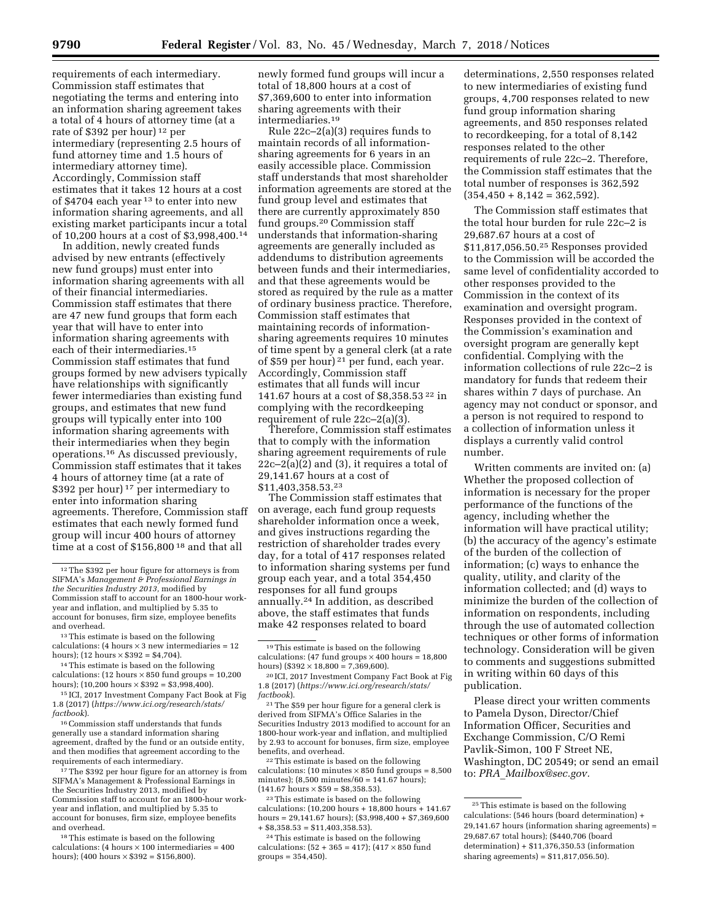requirements of each intermediary. Commission staff estimates that negotiating the terms and entering into an information sharing agreement takes a total of 4 hours of attorney time (at a rate of \$392 per hour) 12 per intermediary (representing 2.5 hours of fund attorney time and 1.5 hours of intermediary attorney time). Accordingly, Commission staff estimates that it takes 12 hours at a cost of \$4704 each year 13 to enter into new information sharing agreements, and all existing market participants incur a total of 10,200 hours at a cost of \$3,998,400.14

In addition, newly created funds advised by new entrants (effectively new fund groups) must enter into information sharing agreements with all of their financial intermediaries. Commission staff estimates that there are 47 new fund groups that form each year that will have to enter into information sharing agreements with each of their intermediaries.15 Commission staff estimates that fund groups formed by new advisers typically have relationships with significantly fewer intermediaries than existing fund groups, and estimates that new fund groups will typically enter into 100 information sharing agreements with their intermediaries when they begin operations.16 As discussed previously, Commission staff estimates that it takes 4 hours of attorney time (at a rate of \$392 per hour) 17 per intermediary to enter into information sharing agreements. Therefore, Commission staff estimates that each newly formed fund group will incur 400 hours of attorney time at a cost of \$156,800<sup>18</sup> and that all

newly formed fund groups will incur a total of 18,800 hours at a cost of \$7,369,600 to enter into information sharing agreements with their intermediaries.19

Rule 22c–2(a)(3) requires funds to maintain records of all informationsharing agreements for 6 years in an easily accessible place. Commission staff understands that most shareholder information agreements are stored at the fund group level and estimates that there are currently approximately 850 fund groups.20 Commission staff understands that information-sharing agreements are generally included as addendums to distribution agreements between funds and their intermediaries, and that these agreements would be stored as required by the rule as a matter of ordinary business practice. Therefore, Commission staff estimates that maintaining records of informationsharing agreements requires 10 minutes of time spent by a general clerk (at a rate of \$59 per hour) 21 per fund, each year. Accordingly, Commission staff estimates that all funds will incur 141.67 hours at a cost of \$8,358.53 22 in complying with the recordkeeping requirement of rule 22c–2(a)(3).

Therefore, Commission staff estimates that to comply with the information sharing agreement requirements of rule  $22c-2(a)(2)$  and  $(3)$ , it requires a total of 29,141.67 hours at a cost of \$11,403,358.53.23

The Commission staff estimates that on average, each fund group requests shareholder information once a week, and gives instructions regarding the restriction of shareholder trades every day, for a total of 417 responses related to information sharing systems per fund group each year, and a total 354,450 responses for all fund groups annually.24 In addition, as described above, the staff estimates that funds make 42 responses related to board

22This estimate is based on the following calculations: (10 minutes  $\times$  850 fund groups = 8,500 minutes); (8,500 minutes/60 = 141.67 hours);  $(141.67 \text{ hours} \times $59 = $8,358.53).$ 

23This estimate is based on the following calculations: (10,200 hours + 18,800 hours + 141.67 hours =  $29,141.67$  hours);  $(\$3,998,400 + \$7,369,600$  $+$  \$8,358.53 = \$11,403,358.53).

determinations, 2,550 responses related to new intermediaries of existing fund groups, 4,700 responses related to new fund group information sharing agreements, and 850 responses related to recordkeeping, for a total of 8,142 responses related to the other requirements of rule 22c–2. Therefore, the Commission staff estimates that the total number of responses is 362,592  $(354,450 + 8,142 = 362,592)$ .

The Commission staff estimates that the total hour burden for rule 22c–2 is 29,687.67 hours at a cost of \$11,817,056.50.25 Responses provided to the Commission will be accorded the same level of confidentiality accorded to other responses provided to the Commission in the context of its examination and oversight program. Responses provided in the context of the Commission's examination and oversight program are generally kept confidential. Complying with the information collections of rule 22c–2 is mandatory for funds that redeem their shares within 7 days of purchase. An agency may not conduct or sponsor, and a person is not required to respond to a collection of information unless it displays a currently valid control number.

Written comments are invited on: (a) Whether the proposed collection of information is necessary for the proper performance of the functions of the agency, including whether the information will have practical utility; (b) the accuracy of the agency's estimate of the burden of the collection of information; (c) ways to enhance the quality, utility, and clarity of the information collected; and (d) ways to minimize the burden of the collection of information on respondents, including through the use of automated collection techniques or other forms of information technology. Consideration will be given to comments and suggestions submitted in writing within 60 days of this publication.

Please direct your written comments to Pamela Dyson, Director/Chief Information Officer, Securities and Exchange Commission, C/O Remi Pavlik-Simon, 100 F Street NE, Washington, DC 20549; or send an email to: *PRA*\_*[Mailbox@sec.gov.](mailto:PRA_Mailbox@sec.gov)* 

<sup>12</sup>The \$392 per hour figure for attorneys is from SIFMA's *Management & Professional Earnings in the Securities Industry 2013,* modified by Commission staff to account for an 1800-hour workyear and inflation, and multiplied by 5.35 to account for bonuses, firm size, employee benefits and overhead.

<sup>13</sup>This estimate is based on the following calculations: (4 hours  $\times$  3 new intermediaries = 12 hours); (12 hours  $\times$  \$392 = \$4,704).

<sup>14</sup>This estimate is based on the following calculations:  $(12 \text{ hours} \times 850 \text{ fund groups} = 10,200$ hours); (10,200 hours  $\times$  \$392 = \$3,998,400).

<sup>15</sup> ICI, 2017 Investment Company Fact Book at Fig 1.8 (2017) (*[https://www.ici.org/research/stats/](https://www.ici.org/research/stats/factbook)  [factbook](https://www.ici.org/research/stats/factbook)*).

<sup>16</sup>Commission staff understands that funds generally use a standard information sharing agreement, drafted by the fund or an outside entity, and then modifies that agreement according to the requirements of each intermediary.

<sup>&</sup>lt;sup>17</sup>The \$392 per hour figure for an attorney is from SIFMA's Management & Professional Earnings in the Securities Industry 2013, modified by Commission staff to account for an 1800-hour workyear and inflation, and multiplied by 5.35 to account for bonuses, firm size, employee benefits and overhead.

<sup>18</sup>This estimate is based on the following calculations: (4 hours  $\times$  100 intermediaries = 400 hours); (400 hours  $\times$  \$392 = \$156,800).

<sup>19</sup>This estimate is based on the following calculations: (47 fund groups  $\times$  400 hours = 18,800 hours) (\$392  $\times$  18,800 = 7,369,600).

<sup>20</sup> ICI, 2017 Investment Company Fact Book at Fig 1.8 (2017) (*[https://www.ici.org/research/stats/](https://www.ici.org/research/stats/factbook)  [factbook](https://www.ici.org/research/stats/factbook)*).

<sup>21</sup>The \$59 per hour figure for a general clerk is derived from SIFMA's Office Salaries in the Securities Industry 2013 modified to account for an 1800-hour work-year and inflation, and multiplied by 2.93 to account for bonuses, firm size, employee benefits, and overhead.

<sup>24</sup>This estimate is based on the following calculations:  $(52 + 365 = 417)$ ;  $(417 \times 850$  fund groups = 354,450).

<sup>25</sup>This estimate is based on the following calculations: (546 hours (board determination) + 29,141.67 hours (information sharing agreements) = 29,687.67 total hours); (\$440,706 (board determination) + \$11,376,350.53 (information sharing agreements) = \$11,817,056.50).